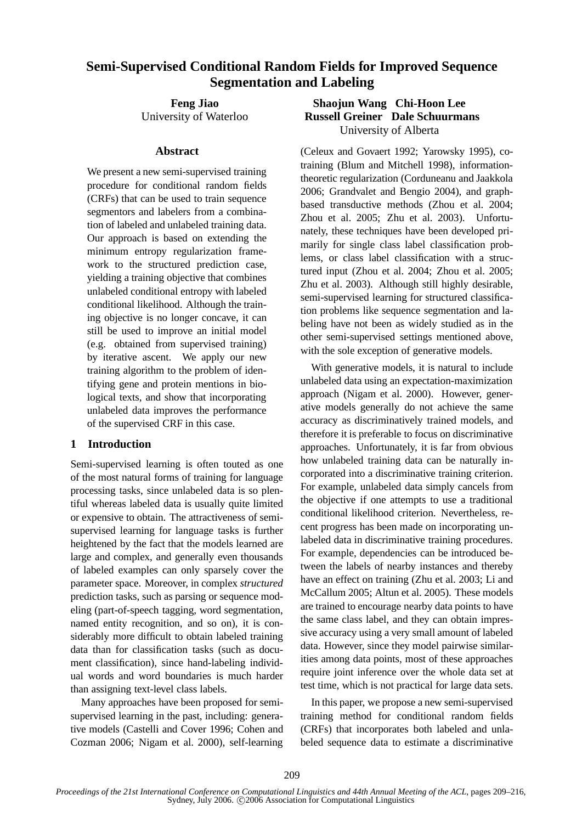# **Semi-Supervised Conditional Random Fields for Improved Sequence Segmentation and Labeling**

**Feng Jiao** University of Waterloo

### **Abstract**

We present a new semi-supervised training procedure for conditional random fields (CRFs) that can be used to train sequence segmentors and labelers from a combination of labeled and unlabeled training data. Our approach is based on extending the minimum entropy regularization framework to the structured prediction case, yielding a training objective that combines unlabeled conditional entropy with labeled conditional likelihood. Although the training objective is no longer concave, it can still be used to improve an initial model (e.g. obtained from supervised training) by iterative ascent. We apply our new training algorithm to the problem of identifying gene and protein mentions in biological texts, and show that incorporating unlabeled data improves the performance of the supervised CRF in this case.

## **1 Introduction**

Semi-supervised learning is often touted as one of the most natural forms of training for language processing tasks, since unlabeled data is so plentiful whereas labeled data is usually quite limited or expensive to obtain. The attractiveness of semisupervised learning for language tasks is further heightened by the fact that the models learned are large and complex, and generally even thousands of labeled examples can only sparsely cover the parameter space. Moreover, in complex *structured* prediction tasks, such as parsing or sequence modeling (part-of-speech tagging, word segmentation, named entity recognition, and so on), it is considerably more difficult to obtain labeled training data than for classification tasks (such as document classification), since hand-labeling individual words and word boundaries is much harder than assigning text-level class labels.

Many approaches have been proposed for semisupervised learning in the past, including: generative models (Castelli and Cover 1996; Cohen and Cozman 2006; Nigam et al. 2000), self-learning

**Shaojun Wang Chi-Hoon Lee Russell Greiner Dale Schuurmans** University of Alberta

(Celeux and Govaert 1992; Yarowsky 1995), cotraining (Blum and Mitchell 1998), informationtheoretic regularization (Corduneanu and Jaakkola 2006; Grandvalet and Bengio 2004), and graphbased transductive methods (Zhou et al. 2004; Zhou et al. 2005; Zhu et al. 2003). Unfortunately, these techniques have been developed primarily for single class label classification problems, or class label classification with a structured input (Zhou et al. 2004; Zhou et al. 2005; Zhu et al. 2003). Although still highly desirable, semi-supervised learning for structured classification problems like sequence segmentation and labeling have not been as widely studied as in the other semi-supervised settings mentioned above, with the sole exception of generative models.

With generative models, it is natural to include unlabeled data using an expectation-maximization approach (Nigam et al. 2000). However, generative models generally do not achieve the same accuracy as discriminatively trained models, and therefore it is preferable to focus on discriminative approaches. Unfortunately, it is far from obvious how unlabeled training data can be naturally incorporated into a discriminative training criterion. For example, unlabeled data simply cancels from the objective if one attempts to use a traditional conditional likelihood criterion. Nevertheless, recent progress has been made on incorporating unlabeled data in discriminative training procedures. For example, dependencies can be introduced between the labels of nearby instances and thereby have an effect on training (Zhu et al. 2003; Li and McCallum 2005; Altun et al. 2005). These models are trained to encourage nearby data points to have the same class label, and they can obtain impressive accuracy using a very small amount of labeled data. However, since they model pairwise similarities among data points, most of these approaches require joint inference over the whole data set at test time, which is not practical for large data sets.

In this paper, we propose a new semi-supervised training method for conditional random fields (CRFs) that incorporates both labeled and unlabeled sequence data to estimate a discriminative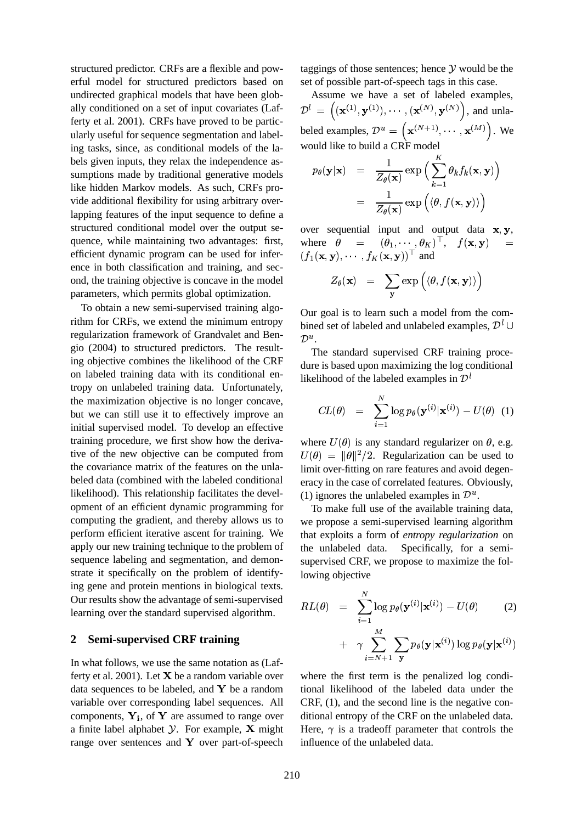structured predictor. CRFs are a flexible and powerful model for structured predictors based on undirected graphical models that have been globally conditioned on a set of input covariates (Lafferty et al. 2001). CRFs have proved to be particularly useful for sequence segmentation and labeling tasks, since, as conditional models of the labels given inputs, they relax the independence assumptions made by traditional generative models like hidden Markov models. As such, CRFs provide additional flexibility for using arbitrary overlapping features of the input sequence to define a structured conditional model over the output sequence, while maintaining two advantages: first, efficient dynamic program can be used for inference in both classification and training, and second, the training objective is concave in the model parameters, which permits global optimization.

To obtain a new semi-supervised training algorithm for CRFs, we extend the minimum entropy regularization framework of Grandvalet and Bengio (2004) to structured predictors. The resulting objective combines the likelihood of the CRF on labeled training data with its conditional entropy on unlabeled training data. Unfortunately, the maximization objective is no longer concave, but we can still use it to effectively improve an initial supervised model. To develop an effective training procedure, we first show how the derivative of the new objective can be computed from the covariance matrix of the features on the unlabeled data (combined with the labeled conditional likelihood). This relationship facilitates the development of an efficient dynamic programming for computing the gradient, and thereby allows us to perform efficient iterative ascent for training. We apply our new training technique to the problem of sequence labeling and segmentation, and demonstrate it specifically on the problem of identifying gene and protein mentions in biological texts. Our results show the advantage of semi-supervised learning over the standard supervised algorithm.

#### **2 Semi-supervised CRF training**

In what follows, we use the same notation as (Lafferty et al. 2001). Let  $X$  be a random variable over data sequences to be labeled, and  $Y$  be a random variable over corresponding label sequences. All components,  $Y_i$ , of Y are assumed to range over a finite label alphabet  $Y$ . For example, **X** might Here, range over sentences and  $Y$  over part-of-speech

taggings of those sentences; hence  $\mathcal Y$  would be the set of possible part-of-speech tags in this case.

Assume we have a set of labeled examples,  $\mathcal{D}^{l} = ( (\mathbf{x}^{(1)}, \mathbf{y}^{(1)}), \cdots, (\mathbf{x}^{(N)}, \mathbf{y}^{(N)})$ , and unlabeled examples,  $\mathcal{D}^u = \left( \mathbf{x}^{(N+1)}, \cdots, \mathbf{x}^{(M)} \right)$ . We would like to build a CRF model

$$
p_{\theta}(\mathbf{y}|\mathbf{x}) = \frac{1}{Z_{\theta}(\mathbf{x})} \exp\Big(\sum_{k=1}^{K} \theta_{k} f_{k}(\mathbf{x}, \mathbf{y})\Big) = \frac{1}{Z_{\theta}(\mathbf{x})} \exp\Big(\langle \theta, f(\mathbf{x}, \mathbf{y}) \rangle\Big)
$$

over sequential input and output data  $x, y$ , where  $\theta = (\theta_1, \dots, \theta_K)$ d output data **x**, **y**<br>  $\theta_K$ <sup>T</sup>,  $f(\mathbf{x}, \mathbf{y})$  = where  $\theta = (\theta_1, \dots, \theta_K)^{\top}$ ,  $f(\mathbf{x}, \mathbf{y}) =$ <br>  $(f_1(\mathbf{x}, \mathbf{y}) \dots f_K(\mathbf{x}, \mathbf{y}))^{\top}$  and ere  $\theta = (\theta_1, \dots, \theta_K)$ <br>  $(\mathbf{x}, \mathbf{y}), \dots, f_K(\mathbf{x}, \mathbf{y}))$ <sup>T</sup> and  $(x, y)$ <sup> $\perp$ </sup> and

$$
Z_{\theta}(\mathbf{x}) = \sum_{\mathbf{y}} \exp \Big( \langle \theta, f(\mathbf{x}, \mathbf{y}) \rangle \Big)
$$

Our goal is to learn such a model from the combined set of labeled and unlabeled examples,  $\mathcal{D}^l \cup$  $\mathcal{D}^u$ 

The standard supervised CRF training procedure is based upon maximizing the log conditional likelihood of the labeled examples in  $\mathcal{D}^l$ 

$$
CL(\theta) = \sum_{i=1}^{N} \log p_{\theta}(\mathbf{y}^{(i)} | \mathbf{x}^{(i)}) - U(\theta) \hspace{0.2cm} (1)
$$

where  $U(\theta)$  is any standard regularizer on  $\theta$ , e.g.  $U(\theta) = ||\theta||^2/2$ . Regularization can be used to limit over-fitting on rare features and avoid degeneracy in the case of correlated features. Obviously, (1) ignores the unlabeled examples in  $\mathcal{D}^u$ .

To make full use of the available training data, we propose a semi-supervised learning algorithm that exploits a form of *entropy regularization* on the unlabeled data. Specifically, for a semisupervised CRF, we propose to maximize the following objective

$$
RL(\theta) = \sum_{i=1}^{N} \log p_{\theta}(\mathbf{y}^{(i)} | \mathbf{x}^{(i)}) - U(\theta)
$$
(2)  
+ 
$$
\gamma \sum_{i=N+1}^{M} \sum_{\mathbf{y}} p_{\theta}(\mathbf{y} | \mathbf{x}^{(i)}) \log p_{\theta}(\mathbf{y} | \mathbf{x}^{(i)})
$$

where the first term is the penalized log conditional likelihood of the labeled data under the CRF, (1), and the second line is the negative conditional entropy of the CRF on the unlabeled data. Here,  $\gamma$  is a tradeoff parameter that controls the influence of the unlabeled data.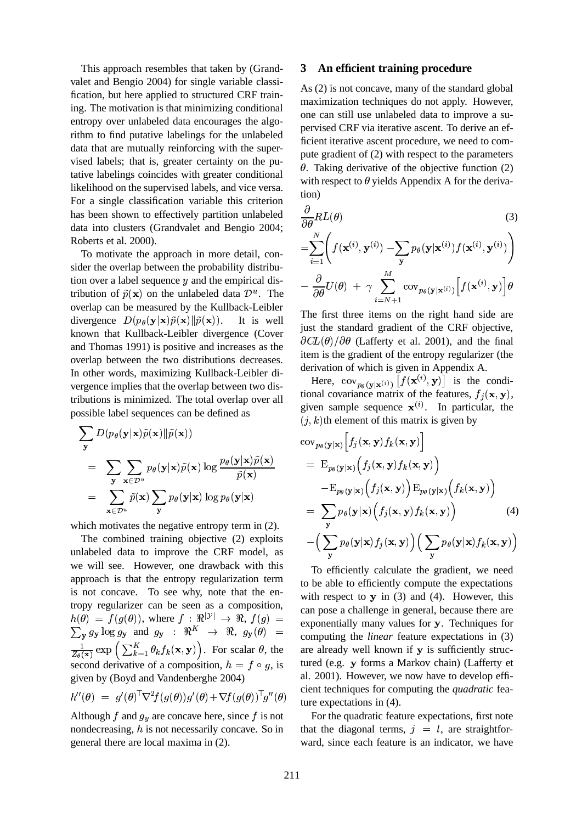This approach resembles that taken by (Grandvalet and Bengio 2004) for single variable classification, but here applied to structured CRF training. The motivation is that minimizing conditional entropy over unlabeled data encourages the algorithm to find putative labelings for the unlabeled data that are mutually reinforcing with the supervised labels; that is, greater certainty on the putative labelings coincides with greater conditional likelihood on the supervised labels, and vice versa. For a single classification variable this criterion has been shown to effectively partition unlabeled data into clusters (Grandvalet and Bengio 2004; Roberts et al. 2000).

To motivate the approach in more detail, consider the overlap between the probability distribution over a label sequence  $y$  and the empirical distribution of  $\tilde{p}(\mathbf{x})$  on the unlabeled data  $\mathcal{D}^u$ . The overlap can be measured by the Kullback-Leibler divergence  $D(p_\theta(\mathbf{y}|\mathbf{x})\tilde{p}(\mathbf{x})||\tilde{p}(\mathbf{x}))$ . It is well known that Kullback-Leibler divergence (Cover and Thomas 1991) is positive and increases as the overlap between the two distributions decreases. In other words, maximizing Kullback-Leibler divergence implies that the overlap between two distributions is minimized. The total overlap over all possible label sequences can be defined as

$$
\sum_{\mathbf{y}} D(p_{\theta}(\mathbf{y}|\mathbf{x})\tilde{p}(\mathbf{x})||\tilde{p}(\mathbf{x}))
$$
\n
$$
= \sum_{\mathbf{y}} \sum_{\mathbf{x} \in \mathcal{D}^u} p_{\theta}(\mathbf{y}|\mathbf{x})\tilde{p}(\mathbf{x}) \log \frac{p_{\theta}(\mathbf{y}|\mathbf{x})\tilde{p}(\mathbf{x})}{\tilde{p}(\mathbf{x})}
$$
\n
$$
= \sum_{\mathbf{x} \in \mathcal{D}^u} \tilde{p}(\mathbf{x}) \sum_{\mathbf{y}} p_{\theta}(\mathbf{y}|\mathbf{x}) \log p_{\theta}(\mathbf{y}|\mathbf{x})
$$

which motivates the negative entropy term in  $(2)$ .

The combined training objective (2) exploits unlabeled data to improve the CRF model, as we will see. However, one drawback with this approach is that the entropy regularization term is not concave. To see why, note that the entropy regularizer can be seen as a composition,  $\sim$   $\sim$   $\sim$   $\sim$   $\sim$   $\sim$ <sup>B</sup> . . . . . . . <sup>B</sup> er can be seen as a composition,<br>
(i), where  $f : \Re^{|\mathcal{Y}|} \to \Re$ ,  $f(g) = \exp(-\frac{g}{\Re(g)}g)$  . . . . the contract of the contract of the contract of the contract of the contract of the contract of the contract of a *l* av  $\log g_{\mathbf{y}}$  and  $g_{\mathbf{y}}$ and  $g_{\mathbf{y}}$  :  $\mathbb{R}^K$ <u>La ca</u>  $\colon \mathbb{R}^K \to \mathbb{R}, g_{\mathbf{y}}(\theta) =$  $\sim$   $\sim$   $\sim$ and  $a_{\cdots} \in \Re^{K} \rightarrow \Re a_{\cdots}(\theta) =$  $\frac{1}{Z}$  exp  $(\sum_{k=1}^{K} \theta_k f_k(\mathbf{x}, \mathbf{y}))$ . For scalar  $\theta$ , the a  $\int_{k=1}^{R} \theta_k f_k(\mathbf{x}, \mathbf{y})$ . For scalar  $\theta$ , the second derivative of a composition,  $h = f \circ g$ , is ture given by (Boyd and Vandenberghe 2004)

$$
h''(\theta) = g'(\theta)^{\top} \nabla^2 f(g(\theta)) g'(\theta) + \nabla f(g(\theta))^{\top} g''(\theta)
$$
  
Although f and  $g_y$  are concave here, since f is not

nondecreasing,  $h$  is not necessarily concave. So in general there are local maxima in (2).

## **3 An efficient training procedure**

As (2) is not concave, many of the standard global maximization techniques do not apply. However, one can still use unlabeled data to improve a supervised CRF via iterative ascent. To derive an efficient iterative ascent procedure, we need to compute gradient of (2) with respect to the parameters with respect to  $\theta$  yields Appendix A for the deriva- $\theta$ . Taking derivative of the objective function (2) tion)

$$
\frac{\partial}{\partial \theta} RL(\theta) \qquad (3)
$$
\n
$$
= \sum_{i=1}^{N} \left( f(\mathbf{x}^{(i)}, \mathbf{y}^{(i)}) - \sum_{\mathbf{y}} p_{\theta}(\mathbf{y}|\mathbf{x}^{(i)}) f(\mathbf{x}^{(i)}, \mathbf{y}^{(i)}) \right)
$$
\n
$$
- \frac{\partial}{\partial \theta} U(\theta) + \gamma \sum_{i=N+1}^{M} \text{cov}_{p_{\theta}(\mathbf{y}|\mathbf{x}^{(i)})} \left[ f(\mathbf{x}^{(i)}, \mathbf{y}) \right] \theta
$$

The first three items on the right hand side are just the standard gradient of the CRF objective,  $CL(\theta)/\partial\theta$  (Lafferty et al. 2001), and the final item is the gradient of the entropy regularizer (the  $\frac{d}{dx}$  derivation of which is given in Appendix A.

Here, (V)\* derivation of which is given in Appendix A.<br>Here,  $\text{cov}_{p_{\theta}(\mathbf{y}|\mathbf{x}^{(i)})}[f(\mathbf{x}^{(i)}, \mathbf{y})]$  is the conditional covariance matrix of the features,  $f_j(\mathbf{x}, \mathbf{y})$ , given sample sequence  $\mathbf{x}^{(i)}$ . In particular, the s such a series of the series of the series of the series of the series of the series of the series of the series of the series of the series of the series of the series of the series of the series of the series of the ser  $(j, k)$ th element of this matrix is given by

$$
\begin{aligned}\n&\text{cov}_{p_{\theta}(\mathbf{y}|\mathbf{x})}\Big[f_j(\mathbf{x}, \mathbf{y})f_k(\mathbf{x}, \mathbf{y})\Big] \\
&= \mathbf{E}_{p_{\theta}(\mathbf{y}|\mathbf{x})}\Big(f_j(\mathbf{x}, \mathbf{y})f_k(\mathbf{x}, \mathbf{y})\Big) \\
&- \mathbf{E}_{p_{\theta}(\mathbf{y}|\mathbf{x})}\Big(f_j(\mathbf{x}, \mathbf{y})\Big) \mathbf{E}_{p_{\theta}(\mathbf{y}|\mathbf{x})}\Big(f_k(\mathbf{x}, \mathbf{y})\Big) \\
&= \sum_{\mathbf{y}} p_{\theta}(\mathbf{y}|\mathbf{x})\Big(f_j(\mathbf{x}, \mathbf{y})f_k(\mathbf{x}, \mathbf{y})\Big) \\
&- \Big(\sum_{\mathbf{y}} p_{\theta}(\mathbf{y}|\mathbf{x})f_j(\mathbf{x}, \mathbf{y})\Big) \Big(\sum_{\mathbf{y}} p_{\theta}(\mathbf{y}|\mathbf{x})f_k(\mathbf{x}, \mathbf{y})\Big)\n\end{aligned}
$$

<sup>&</sup>lt;  $\mathbf{y}$  = exponentially many values for **y**. Techniques for cient techniques for computing the *quadratic* fea-To efficiently calculate the gradient, we need to be able to efficiently compute the expectations with respect to  $y$  in (3) and (4). However, this can pose a challenge in general, because there are computing the *linear* feature expectations in (3) are already well known if  $y$  is sufficiently structured (e.g. y forms a Markov chain) (Lafferty et al. 2001). However, we now have to develop effiture expectations in (4).

<sup>B</sup> For the quadratic feature expectations, first note that the diagonal terms,  $j = l$ , are straightforward, since each feature is an indicator, we have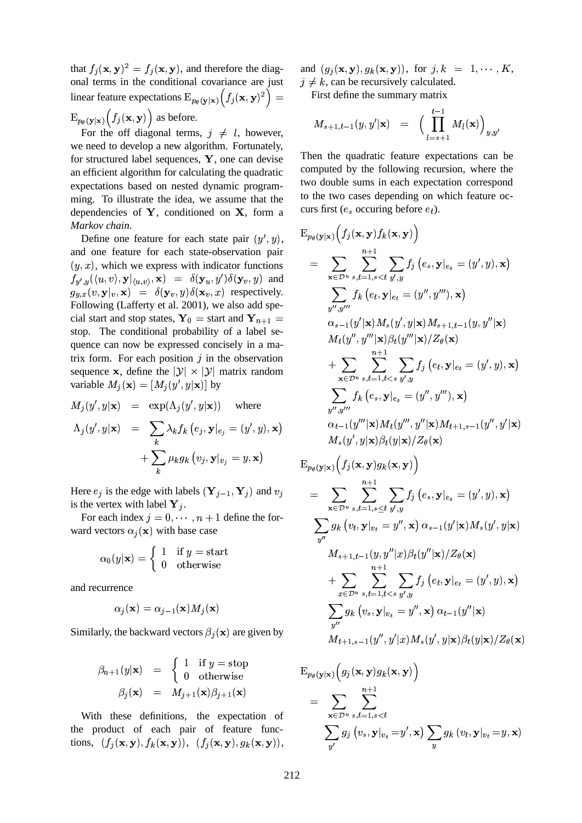that  $f_i(\mathbf{x}, \mathbf{y})^2$  $(\mathbf{x}, \mathbf{y})^2 = f_i(\mathbf{x}, \mathbf{y})$ , and therefore the diagonal terms in the conditional covariance are just onal terms in the conditional covariance are just  $j \neq \kappa$ , can<br>linear feature expectations  $E_{p_{\theta}(\mathbf{y}|\mathbf{x})}\left(f_j(\mathbf{x}, \mathbf{y})^2\right) =$  First def  $E_{p_{\theta}(\mathbf{y}|\mathbf{x})}\left(f_j(\mathbf{x}, \mathbf{y})\right)$  as before.

For the off diagonal terms,  $j \neq l$ , however, we need to develop a new algorithm. Fortunately, for structured label sequences,  $\mathbf{Y}$ , one can devise an efficient algorithm for calculating the quadratic expectations based on nested dynamic programming. To illustrate the idea, we assume that the dependencies of  $Y$ , conditioned on  $X$ , form a curs *Markov chain*.

Define one feature for each state pair  $(y', y)$ ,  $P_{p\theta}(x)$ and one feature for each state-observation pair  $(y, x)$ , which we express with indicator functions  $\mathbf{y}'_{y',y}(\langle u,v \rangle, \mathbf{y} |_{\langle u,v \rangle}, \mathbf{x}) = \delta(\mathbf{y}_u, y') \delta(\mathbf{y}_v, y)$  and  $g_{y,x}(v, \mathbf{y}|_v, \mathbf{x}) = \delta(\mathbf{y}_v, y) \delta(\mathbf{x}_v, x)$  respectively. Following (Lafferty et al. 2001), we also add special start and stop states,  $Y_0 = \text{start}$  and  $Y_{n+1} =$ stop. The conditional probability of a label sequence can now be expressed concisely in a matrix form. For each position  $j$  in the observation sequence **x**, define the  $|\mathcal{Y}| \times |\mathcal{Y}|$  matrix random variable  $M_j(\mathbf{x}) = [M_j(y', y|\mathbf{x})]$  by<br>  $M_i(y', y|\mathbf{x}) = \exp(\Lambda_i(y', y|\mathbf{x}))$  where

$$
M_j(y', y | \mathbf{x}) = \exp(\Lambda_j(y', y | \mathbf{x})) \text{ where}
$$
  
\n
$$
\Lambda_j(y', y | \mathbf{x}) = \sum_k \lambda_k f_k(e_j, \mathbf{y}|_{e_j} = (y', y), \mathbf{x})
$$
  
\n
$$
+ \sum_k \mu_k g_k(v_j, \mathbf{y}|_{v_j} = y, \mathbf{x})
$$
E

Here  $e_i$  is the edge with labels  $(\mathbf{Y}_{i-1}, \mathbf{Y}_i)$  and  $v_i =$ is the vertex with label  $Y_i$ .

For each index  $j = 0, \dots, n + 1$  define the forward vectors  $\alpha_i(\mathbf{x})$  with base case

$$
\alpha_0(y|\mathbf{x}) = \left\{ \begin{array}{cl} 1 & \text{if } y = \text{start} \\ 0 & \text{otherwise} \end{array} \right.
$$

and recurrence

$$
\alpha_j(\mathbf{x})=\alpha_{j-1}(\mathbf{x})M_j(\mathbf{x})
$$

Similarly, the backward vectors  $\beta_i(\mathbf{x})$  are given by

$$
\beta_{n+1}(y|\mathbf{x}) = \begin{cases} 1 & \text{if } y = \text{stop} \\ 0 & \text{otherwise} \end{cases}
$$

$$
\beta_j(\mathbf{x}) = M_{j+1}(\mathbf{x})\beta_{j+1}(\mathbf{x})
$$

With these definitions, the expectation of the product of each pair of feature functhe product of each pair of feat<br>tions,  $(f_j(\mathbf{x}, \mathbf{y}), f_k(\mathbf{x}, \mathbf{y}))$ ,  $(f_j(\mathbf{x}, \mathbf{y}),$  $(\mathbf{x},\mathbf{y}), g_k(\mathbf{x},\mathbf{y})),$ 

and  $(g_i(\mathbf{x}, \mathbf{y}),$  $({\mathbf x},{\mathbf y}), g_k({\mathbf x},{\mathbf y})$ , for  $j,k = 1,\cdots,K$ ,  $j \neq k$ , can be recursively calculated.

First define the summary matrix

$$
M_{s+1,t-1}(y,y'|\mathbf{x})\;\;=\;\; \Big(\prod_{l=s+1}^{t-1} M_l(\mathbf{x})\Big)_{y,y'}
$$

Then the quadratic feature expectations can be computed by the following recursion, where the two double sums in each expectation correspond to the two cases depending on which feature occurs first  $(e_s$  occuring before  $e_t$ ).

$$
E_{p_{\theta}(\mathbf{y}|\mathbf{x})}\left(f_{j}(\mathbf{x}, \mathbf{y})f_{k}(\mathbf{x}, \mathbf{y})\right)
$$
\n
$$
= \sum_{\mathbf{x}\in\mathcal{D}^{u}}\sum_{s,t=1,s\n
$$
\sum_{y'',y'''}f_{k}\left(e_{t},\mathbf{y}|_{e_{t}}=(y'',y'''),\mathbf{x}\right)
$$
\n
$$
\alpha_{s-1}(y'|\mathbf{x})M_{s}(y',y|\mathbf{x})M_{s+1,t-1}(y,y''|\mathbf{x})
$$
\n
$$
M_{t}(y'',y'''|\mathbf{x})\beta_{t}(y'''|\mathbf{x})/Z_{\theta}(\mathbf{x})
$$
\n
$$
+ \sum_{\mathbf{x}\in\mathcal{D}^{u}}\sum_{s,t=1,t\n
$$
\sum_{y'',y'''}f_{k}\left(e_{s},\mathbf{y}|_{e_{s}}=(y'',y'''),\mathbf{x}\right)
$$
\n
$$
\alpha_{t-1}(y'''|\mathbf{x})M_{t}(y''',y''|\mathbf{x})M_{t+1,s-1}(y'',y'|\mathbf{x})
$$
\n
$$
M_{s}(y',y|\mathbf{x})\beta_{t}(y|\mathbf{x})/Z_{\theta}(\mathbf{x})
$$
\n
$$
E_{p_{\theta}(\mathbf{y}|\mathbf{x})}\left(f_{j}(\mathbf{x},\mathbf{y})g_{k}(\mathbf{x},\mathbf{y})\right)
$$
\n
$$
= \sum_{\mathbf{x}\in\mathcal{D}^{u}}\sum_{s,t=1,s\leq t}\sum_{y',y}f_{j}\left(e_{s},\mathbf{y}|_{e_{s}}=(y',y),\mathbf{x}\right)
$$
\n
$$
\sum_{y''}\sum_{s,t=1,t\leq s}\sum_{y',y}f_{j}\left(e_{t},\mathbf{y}|_{e_{t}}=(y',y),\mathbf{x}\right)
$$
\n
$$
+ \sum_{x\in\mathcal{D}^{u}}\sum_{s,t=1,t\leq s}\sum_{y',y
$$
$$
$$

$$
\sum_{y''} g_k \left( v_t, \mathbf{y}|_{v_t} = y'', \mathbf{x} \right) \alpha_{s-1}(y'|\mathbf{x}) M_s(y', y|\mathbf{x})
$$
\n
$$
M_{s+1,t-1}(y, y''|x) \beta_t(y''|\mathbf{x}) / Z_\theta(\mathbf{x})
$$
\n
$$
+ \sum_{x \in \mathcal{D}^u} \sum_{s,t=1,t < s} \sum_{y',y} f_j \left( e_t, \mathbf{y}|_{e_t} = (y', y), \mathbf{x} \right)
$$
\n
$$
\sum_{y''} g_k \left( v_s, \mathbf{y}|_{v_s} = y'', \mathbf{x} \right) \alpha_{t-1}(y''|\mathbf{x})
$$
\n
$$
M_{t+1,s-1}(y'', y'|x) M_s(y', y|\mathbf{x}) \beta_t(y|\mathbf{x}) / Z_\theta(\mathbf{x})
$$
\n
$$
\sum_{y''} \left( a_t(\mathbf{x}, \mathbf{y}) a_t(\mathbf{x}, \mathbf{y}) \right)
$$

$$
\begin{aligned} &\mathrm{E}_{p_{\bm{\theta}}(\mathbf{y}|\mathbf{x})}\Big(g_j(\mathbf{x},\mathbf{y})g_k(\mathbf{x},\mathbf{y})\Big)\\ &=\sum_{\substack{\mathbf{x}\in\mathcal{D}^u}}\sum_{s,t=1,s
$$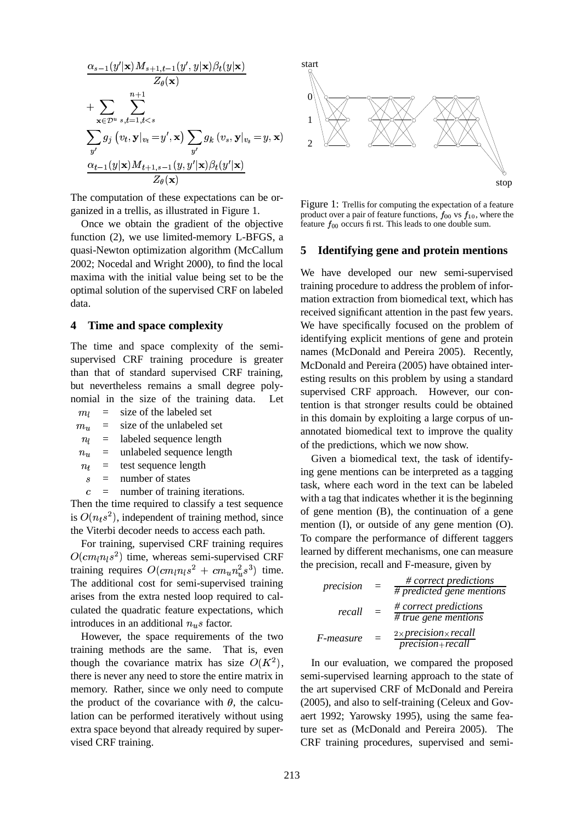$$
\alpha_{s-1}(y'|\mathbf{x})M_{s+1,t-1}(y',y|\mathbf{x})\beta_t(y|\mathbf{x})
$$
\n
$$
+\sum_{\mathbf{x}\in\mathcal{D}^u}\sum_{s,t=1,t
$$

The computation of these expectations can be organized in a trellis, as illustrated in Figure 1.

Once we obtain the gradient of the objective function (2), we use limited-memory L-BFGS, a quasi-Newton optimization algorithm (McCallum 2002; Nocedal and Wright 2000), to find the local maxima with the initial value being set to be the optimal solution of the supervised CRF on labeled data.

# **4 Time and space complexity**

The time and space complexity of the semisupervised CRF training procedure is greater than that of standard supervised CRF training, but nevertheless remains a small degree polynomial in the size of the training data. Let

 $m_l$  = size of the labeled set

 $m_u$  = size of the unlabeled set

- $n_l$  = labeled sequence length  $n_l =$
- $n_u$  = unlabeled sequence length

 $n_t$  = test sequence length

 $s =$ number of states

 $\overline{c}$ = number of training iterations.

Then the time required to classify a test sequence is  $O(n_t s^2)$ , independent of training method, since the Viterbi decoder needs to access each path.

For training, supervised CRF training requires  $O(cm_l n_l s^2)$  time, whereas semi-supervised CRF training requires  $O(cm_l n_l s^2 + cm_u n_u^2 s^3)$  time. The additional cost for semi-supervised training arises from the extra nested loop required to calculated the quadratic feature expectations, which introduces in an additional  $n<sub>u</sub>s$  factor.

However, the space requirements of the two training methods are the same. That is, even though the covariance matrix has size  $O(K^2)$ , In there is never any need to store the entire matrix in memory. Rather, since we only need to compute the product of the covariance with  $\theta$ , the calculation can be performed iteratively without using extra space beyond that already required by supervised CRF training.



Figure 1: Trellis for computing the expectation of a feature product over a pair of feature functions,  $f_{00}$  vs  $f_{10}$ , where the feature  $f_{00}$  occurs first. This leads to one double sum.

#### **5 Identifying gene and protein mentions**

We have developed our new semi-supervised training procedure to address the problem of information extraction from biomedical text, which has received significant attention in the past few years. We have specifically focused on the problem of identifying explicit mentions of gene and protein names (McDonald and Pereira 2005). Recently, McDonald and Pereira (2005) have obtained interesting results on this problem by using a standard supervised CRF approach. However, our contention is that stronger results could be obtained in this domain by exploiting a large corpus of unannotated biomedical text to improve the quality of the predictions, which we now show.

Given a biomedical text, the task of identifying gene mentions can be interpreted as a tagging task, where each word in the text can be labeled with a tag that indicates whether it is the beginning of gene mention (B), the continuation of a gene mention (I), or outside of any gene mention (O). To compare the performance of different taggers learned by different mechanisms, one can measure the precision, recall and F-measure, given by

| precision | $=$ | $# correct\ predictions$<br>$# predicted$ gene mentions    |
|-----------|-----|------------------------------------------------------------|
| recall    | $=$ | $# correct\ predictions$<br>$#$ true gene mentions         |
| F-measure |     | $2 \times precision \times recall$<br>$precision + recall$ |

In our evaluation, we compared the proposed semi-supervised learning approach to the state of the art supervised CRF of McDonald and Pereira (2005), and also to self-training (Celeux and Govaert 1992; Yarowsky 1995), using the same feature set as (McDonald and Pereira 2005). The CRF training procedures, supervised and semi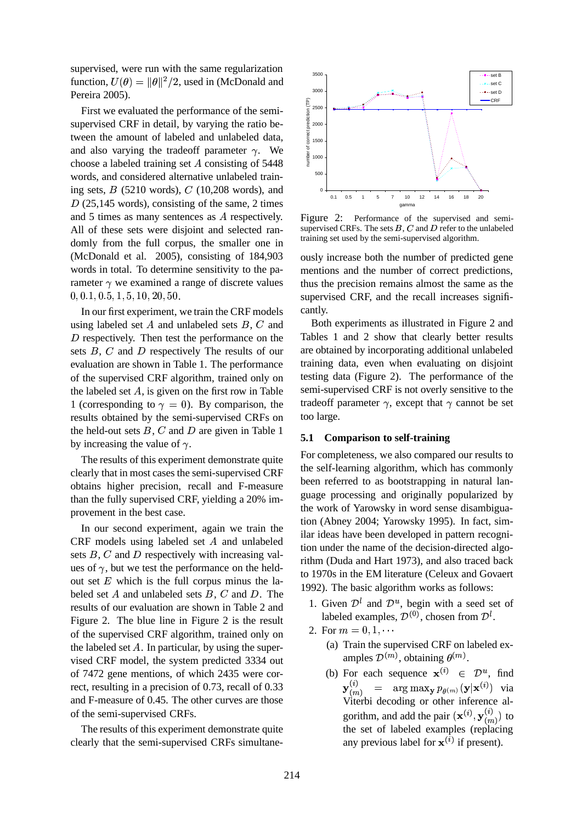supervised, were run with the same regularization function,  $U(\theta) = ||\theta||^2/2$ , used in (McDonald and Pereira 2005).

First we evaluated the performance of the semisupervised CRF in detail, by varying the ratio between the amount of labeled and unlabeled data, and also varying the tradeoff parameter  $\gamma$ . We choose a labeled training set  $A$  consisting of 5448 words, and considered alternative unlabeled training sets,  $B$  (5210 words),  $C$  (10,208 words), and  $D(25, 145 \text{ words})$ , consisting of the same, 2 times and 5 times as many sentences as  $A$  respectively. All of these sets were disjoint and selected randomly from the full corpus, the smaller one in (McDonald et al. 2005), consisting of 184,903 words in total. To determine sensitivity to the parameter  $\gamma$  we examined a range of discrete values  $0, 0.1, 0.5, 1, 5, 10, 20, 50.$ 

In our first experiment, we train the CRF models using labeled set  $A$  and unlabeled sets  $B$ ,  $C$  and  $B$ oth  $D$  respectively. Then test the performance on the sets  $B$ ,  $C$  and  $D$  respectively The results of our evaluation are shown in Table 1. The performance of the supervised CRF algorithm, trained only on the labeled set  $A$ , is given on the first row in Table 1 (corresponding to  $\gamma = 0$ ). By comparison, the results obtained by the semi-supervised CRFs on the held-out sets  $B$ ,  $C$  and  $D$  are given in Table 1 by increasing the value of  $\gamma$ .

The results of this experiment demonstrate quite clearly that in most cases the semi-supervised CRF obtains higher precision, recall and F-measure than the fully supervised CRF, yielding a 20% improvement in the best case.

In our second experiment, again we train the CRF models using labeled set  $A$  and unlabeled sets  $B$ ,  $C$  and  $D$  respectively with increasing values of  $\gamma$ , but we test the performance on the heldout set  $E$  which is the full corpus minus the labeled set  $A$  and unlabeled sets  $B$ ,  $C$  and  $D$ . The results of our evaluation are shown in Table 2 and Figure 2. The blue line in Figure 2 is the result of the supervised CRF algorithm, trained only on the labeled set  $A$ . In particular, by using the supervised CRF model, the system predicted 3334 out of 7472 gene mentions, of which 2435 were correct, resulting in a precision of 0.73, recall of 0.33 and F-measure of 0.45. The other curves are those of the semi-supervised CRFs.

The results of this experiment demonstrate quite clearly that the semi-supervised CRFs simultane-



Figure 2: Performance of the supervised and semisupervised CRFs. The sets  $B, C$  and  $D$  refer to the unlabeled training set used by the semi-supervised algorithm.

ously increase both the number of predicted gene mentions and the number of correct predictions, thus the precision remains almost the same as the supervised CRF, and the recall increases significantly.

Both experiments as illustrated in Figure 2 and Tables 1 and 2 show that clearly better results are obtained by incorporating additional unlabeled training data, even when evaluating on disjoint testing data (Figure 2). The performance of the semi-supervised CRF is not overly sensitive to the tradeoff parameter  $\gamma$ , except that  $\gamma$  cannot be set too large.

#### **5.1 Comparison to self-training**

For completeness, we also compared our results to the self-learning algorithm, which has commonly been referred to as bootstrapping in natural language processing and originally popularized by the work of Yarowsky in word sense disambiguation (Abney 2004; Yarowsky 1995). In fact, similar ideas have been developed in pattern recognition under the name of the decision-directed algorithm (Duda and Hart 1973), and also traced back to 1970s in the EM literature (Celeux and Govaert 1992). The basic algorithm works as follows:

- 1. Given  $\mathcal{D}^l$  and  $\mathcal{D}^u$ , begin with a seed set of labeled examples,  $\mathcal{D}^{(0)}$ , chosen from  $\mathcal{D}^{l}$ .
- 2. For  $m = 0, 1, \cdots$ 
	- (a) Train the supervised CRF on labeled examples  $\mathcal{D}^{(m)}$ , obtaining  $\theta^{(m)}$ . Service and the service of the service of the service of the service of the service of the service of the service
	- amples  $\mathcal{D}^{(m)}$ , obtaining  $\theta^{(m)}$ .<br>
	(b) For each sequence  $\mathbf{x}^{(i)} \in \mathcal{D}^u$ , find<br>  $\mathbf{v}^{(i)}$ , = arg max,  $p_{\theta^{(m)}}(\mathbf{v}|\mathbf{x}^{(i)})$  via  $\mathbf{y}_{(m)}^{(i)} = \arg \max_{\mathbf{y}} p_{\theta(m)}(\mathbf{y}|\mathbf{x}^{(i)})$  via Viterbi decoding or other inference algorithm, and add the pair  $(\mathbf{x}^{(i)}, \mathbf{y}_{(m)}^{(i)})$  to the set of labeled examples (replacing<br>any previous label for  $\mathbf{x}^{(i)}$  if present).  $i$  if present).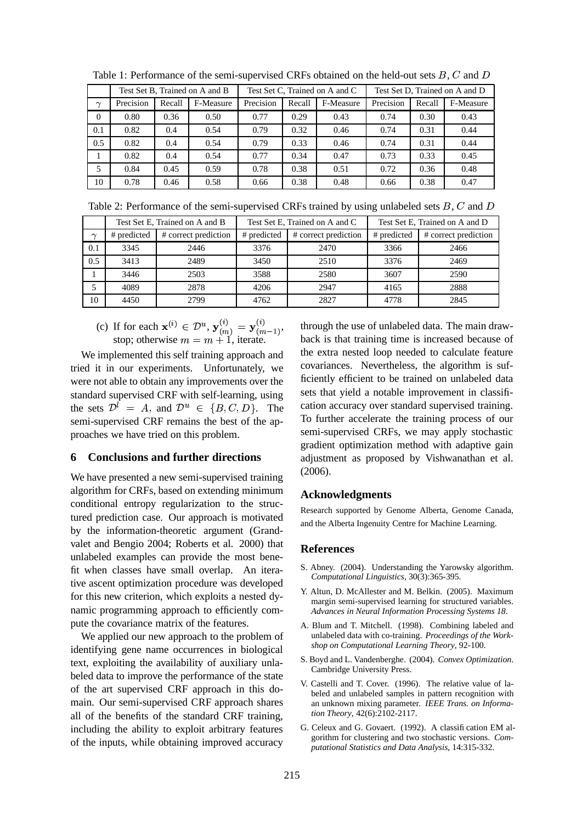|          | Test Set B, Trained on A and B |        |           | Test Set C, Trained on A and C |        |           | Test Set D, Trained on A and D |        |           |
|----------|--------------------------------|--------|-----------|--------------------------------|--------|-----------|--------------------------------|--------|-----------|
| $\sim$   | Precision                      | Recall | F-Measure | Precision                      | Recall | F-Measure | Precision                      | Recall | F-Measure |
| $\Omega$ | 0.80                           | 0.36   | 0.50      | 0.77                           | 0.29   | 0.43      | 0.74                           | 0.30   | 0.43      |
| 0.1      | 0.82                           | 0.4    | 0.54      | 0.79                           | 0.32   | 0.46      | 0.74                           | 0.31   | 0.44      |
| 0.5      | 0.82                           | 0.4    | 0.54      | 0.79                           | 0.33   | 0.46      | 0.74                           | 0.31   | 0.44      |
|          | 0.82                           | 0.4    | 0.54      | 0.77                           | 0.34   | 0.47      | 0.73                           | 0.33   | 0.45      |
| 5        | 0.84                           | 0.45   | 0.59      | 0.78                           | 0.38   | 0.51      | 0.72                           | 0.36   | 0.48      |
| 10       | 0.78                           | 0.46   | 0.58      | 0.66                           | 0.38   | 0.48      | 0.66                           | 0.38   | 0.47      |

Table 1: Performance of the semi-supervised CRFs obtained on the held-out sets  $B, C$  and  $D$ 

Table 2: Performance of the semi-supervised CRFs trained by using unlabeled sets  $B, C$  and  $D$ 

|        |             | Test Set E, Trained on A and B |             | Test Set E, Trained on A and C | Test Set E, Trained on A and D |                      |  |
|--------|-------------|--------------------------------|-------------|--------------------------------|--------------------------------|----------------------|--|
| $\sim$ | # predicted | # correct prediction           | # predicted | # correct prediction           | # predicted                    | # correct prediction |  |
| 0.1    | 3345        | 2446                           | 3376        | 2470                           | 3366                           | 2466                 |  |
| 0.5    | 3413        | 2489                           | 3450        | 2510                           | 3376                           | 2469                 |  |
|        | 3446        | 2503                           | 3588        | 2580                           | 3607                           | 2590                 |  |
|        | 4089        | 2878                           | 4206        | 2947                           | 4165                           | 2888                 |  |
| 10     | 4450        | 2799                           | 4762        | 2827                           | 4778                           | 2845                 |  |

(c) If for each  $\mathbf{x}^{(i)} \in \mathcal{D}^u$ ,  $\mathbf{y}_{(m)}^{(i)} = \mathbf{y}_{(m-1)}^{(i)}$ , thro stop; otherwise  $m = m + 1$ , iterate.

We implemented this self training approach and tried it in our experiments. Unfortunately, we were not able to obtain any improvements over the standard supervised CRF with self-learning, using the sets  $\mathcal{D}^l = A$ , and  $\mathcal{D}^u \in \{B, C, D\}$ . The semi-supervised CRF remains the best of the approaches we have tried on this problem.

### **6 Conclusions and further directions**

We have presented a new semi-supervised training algorithm for CRFs, based on extending minimum conditional entropy regularization to the structured prediction case. Our approach is motivated by the information-theoretic argument (Grandvalet and Bengio 2004; Roberts et al. 2000) that unlabeled examples can provide the most benefit when classes have small overlap. An iterative ascent optimization procedure was developed for this new criterion, which exploits a nested dynamic programming approach to efficiently compute the covariance matrix of the features.

We applied our new approach to the problem of identifying gene name occurrences in biological text, exploiting the availability of auxiliary unlabeled data to improve the performance of the state of the art supervised CRF approach in this domain. Our semi-supervised CRF approach shares all of the benefits of the standard CRF training, including the ability to exploit arbitrary features of the inputs, while obtaining improved accuracy

through the use of unlabeled data. The main drawback is that training time is increased because of the extra nested loop needed to calculate feature covariances. Nevertheless, the algorithm is sufficiently efficient to be trained on unlabeled data sets that yield a notable improvement in classification accuracy over standard supervised training. To further accelerate the training process of our semi-supervised CRFs, we may apply stochastic gradient optimization method with adaptive gain adjustment as proposed by Vishwanathan et al. (2006).

# **Acknowledgments**

Research supported by Genome Alberta, Genome Canada, and the Alberta Ingenuity Centre for Machine Learning.

### **References**

- S. Abney. (2004). Understanding the Yarowsky algorithm. *Computational Linguistics*, 30(3):365-395.
- Y. Altun, D. McAllester and M. Belkin. (2005). Maximum margin semi-supervised learning for structured variables. *Advances in Neural Information Processing Systems 18*.
- A. Blum and T. Mitchell. (1998). Combining labeled and unlabeled data with co-training. *Proceedings of the Workshop on Computational Learning Theory*, 92-100.
- S. Boyd and L. Vandenberghe. (2004). *Convex Optimization*. Cambridge University Press.
- V. Castelli and T. Cover. (1996). The relative value of labeled and unlabeled samples in pattern recognition with an unknown mixing parameter. *IEEE Trans. on Information Theory*, 42(6):2102-2117.
- G. Celeux and G. Govaert. (1992). A classification EM algorithm for clustering and two stochastic versions. *Computational Statistics and Data Analysis*, 14:315-332.